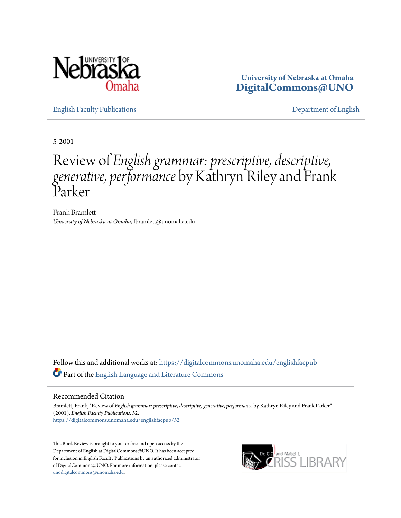

**University of Nebraska at Omaha [DigitalCommons@UNO](https://digitalcommons.unomaha.edu?utm_source=digitalcommons.unomaha.edu%2Fenglishfacpub%2F52&utm_medium=PDF&utm_campaign=PDFCoverPages)**

[English Faculty Publications](https://digitalcommons.unomaha.edu/englishfacpub?utm_source=digitalcommons.unomaha.edu%2Fenglishfacpub%2F52&utm_medium=PDF&utm_campaign=PDFCoverPages) [Department of English](https://digitalcommons.unomaha.edu/english?utm_source=digitalcommons.unomaha.edu%2Fenglishfacpub%2F52&utm_medium=PDF&utm_campaign=PDFCoverPages)

5-2001

## Review of *English grammar: prescriptive, descriptive, generative, performance* by Kathryn Riley and Frank Parker

Frank Bramlett *University of Nebraska at Omaha*, fbramlett@unomaha.edu

Follow this and additional works at: [https://digitalcommons.unomaha.edu/englishfacpub](https://digitalcommons.unomaha.edu/englishfacpub?utm_source=digitalcommons.unomaha.edu%2Fenglishfacpub%2F52&utm_medium=PDF&utm_campaign=PDFCoverPages) Part of the [English Language and Literature Commons](http://network.bepress.com/hgg/discipline/455?utm_source=digitalcommons.unomaha.edu%2Fenglishfacpub%2F52&utm_medium=PDF&utm_campaign=PDFCoverPages)

## Recommended Citation

Bramlett, Frank, "Review of *English grammar: prescriptive, descriptive, generative, performance* by Kathryn Riley and Frank Parker" (2001). *English Faculty Publications*. 52. [https://digitalcommons.unomaha.edu/englishfacpub/52](https://digitalcommons.unomaha.edu/englishfacpub/52?utm_source=digitalcommons.unomaha.edu%2Fenglishfacpub%2F52&utm_medium=PDF&utm_campaign=PDFCoverPages)

This Book Review is brought to you for free and open access by the Department of English at DigitalCommons@UNO. It has been accepted for inclusion in English Faculty Publications by an authorized administrator of DigitalCommons@UNO. For more information, please contact [unodigitalcommons@unomaha.edu](mailto:unodigitalcommons@unomaha.edu).

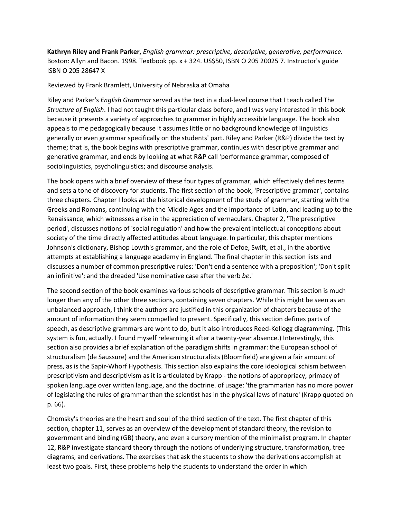**Kathryn Riley and Frank Parker,** *English grammar: prescriptive, descriptive, generative, performance.*  Boston: Allyn and Bacon. 1998. Textbook pp. x + 324. US\$50, ISBN O 205 20025 7. Instructor's guide ISBN O 205 28647 X

Reviewed by Frank Bramlett, University of Nebraska at Omaha

Riley and Parker's *English Grammar* served as the text in a dual-level course that I teach called The *Structure of English*. I had not taught this particular class before, and I was very interested in this book because it presents a variety of approaches to grammar in highly accessible language. The book also appeals to me pedagogically because it assumes little or no background knowledge of linguistics generally or even grammar specifically on the students' part. Riley and Parker (R&P) divide the text by theme; that is, the book begins with prescriptive grammar, continues with descriptive grammar and generative grammar, and ends by looking at what R&P call 'performance grammar, composed of sociolinguistics, psycholinguistics; and discourse analysis.

The book opens with a brief overview of these four types of grammar, which effectively defines terms and sets a tone of discovery for students. The first section of the book, 'Prescriptive grammar', contains three chapters. Chapter I looks at the historical development of the study of grammar, starting with the Greeks and Romans, continuing with the Middle Ages and the importance of Latin, and leading up to the Renaissance, which witnesses a rise in the appreciation of vernaculars. Chapter 2, 'The prescriptive period', discusses notions of 'social regulation' and how the prevalent intellectual conceptions about society of the time directly affected attitudes about language. In particular, this chapter mentions Johnson's dictionary, Bishop Lowth's grammar, and the role of Defoe, Swift, et al., in the abortive attempts at establishing a language academy in England. The final chapter in this section lists and discusses a number of common prescriptive rules: 'Don't end a sentence with a preposition'; 'Don't split an infinitive'; and the dreaded 'Use nominative case after the verb *be*.'

The second section of the book examines various schools of descriptive grammar. This section is much longer than any of the other three sections, containing seven chapters. While this might be seen as an unbalanced approach, I think the authors are justified in this organization of chapters because of the amount of information they seem compelled to present. Specifically, this section defines parts of speech, as descriptive grammars are wont to do, but it also introduces Reed-Kellogg diagramming. (This system is fun, actually. I found myself relearning it after a twenty-year absence.) Interestingly, this section also provides a brief explanation of the paradigm shifts in grammar: the European school of structuralism (de Saussure) and the American structuralists (Bloomfield) are given a fair amount of press, as is the Sapir-Whorf Hypothesis. This section also explains the core ideological schism between prescriptivism and descriptivism as it is articulated by Krapp - the notions of appropriacy, primacy of spoken language over written language, and the doctrine. of usage: 'the grammarian has no more power of legislating the rules of grammar than the scientist has in the physical laws of nature' (Krapp quoted on p. 66).

Chomsky's theories are the heart and soul of the third section of the text. The first chapter of this section, chapter 11, serves as an overview of the development of standard theory, the revision to government and binding (GB) theory, and even a cursory mention of the minimalist program. In chapter 12, R&P investigate standard theory through the notions of underlying structure, transformation, tree diagrams, and derivations. The exercises that ask the students to show the derivations accomplish at least two goals. First, these problems help the students to understand the order in which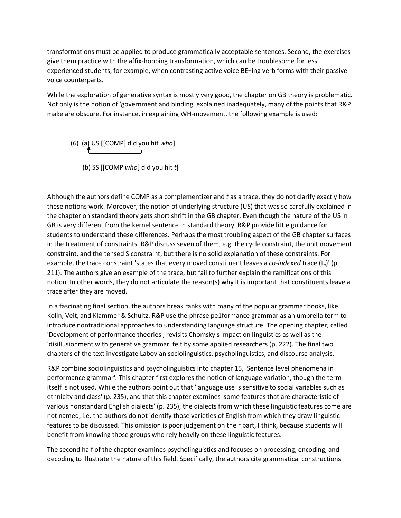transformations must be applied to produce grammatically acceptable sentences. Second, the exercises give them practice with the affix-hopping transformation, which can be troublesome for less experienced students, for example, when contrasting active voice BE+ing verb forms with their passive voice counterparts.

While the exploration of generative syntax is mostly very good, the chapter on GB theory is problematic. Not only is the notion of 'government and binding' explained inadequately, many of the points that R&P make are obscure. For instance, in explaining WH-movement, the following example is used:

- (6) (a) US [[COMP] did you hit *who*]
	- (b) SS [[COMP *who*] did you hit *t*]

Although the authors define COMP as a complementizer and *t* as a trace, they do not clarify exactly how these notions work. Moreover, the notion of underlying structure (US) that was so carefully explained in the chapter on standard theory gets short shrift in the GB chapter. Even though the nature of the US in GB is very different from the kernel sentence in standard theory, R&P provide little guidance for students to understand these differences. Perhaps the most troubling aspect of the GB chapter surfaces in the treatment of constraints. R&P discuss seven of them, e.g. the cycle constraint, the unit movement constraint, and the tensed S constraint, but there is no solid explanation of these constraints. For example, the trace constraint 'states that every moved constituent leaves a *co-indexed* trace (t*n*)' (p. 211). The authors give an example of the trace, but fail to further explain the ramifications of this notion. In other words, they do not articulate the reason(s) why it is important that constituents leave a trace after they are moved.

In a fascinating final section, the authors break ranks with many of the popular grammar books, like Kolln, Veit, and Klammer & Schultz. R&P use the phrase pe1formance grammar as an umbrella term to introduce nontraditional approaches to understanding language structure. The opening chapter, called 'Development of performance theories', revisits Chomsky's impact on linguistics as well as the 'disillusionment with generative grammar' felt by some applied researchers (p. 222). The final two chapters of the text investigate Labovian sociolinguistics, psycholinguistics, and discourse analysis.

R&P combine sociolinguistics and psycholinguistics into chapter 15, 'Sentence level phenomena in performance grammar'. This chapter first explores the notion of language variation, though the term itself is not used. While the authors point out that 'language use is sensitive to social variables such as ethnicity and class' (p. 235), and that this chapter examines 'some features that are characteristic of various nonstandard English dialects' (p. 235), the dialects from which these linguistic features come are not named, i.e. the authors do not identify those varieties of English from which they draw linguistic features to be discussed. This omission is poor judgement on their part, I think, because students will benefit from knowing those groups who rely heavily on these linguistic features.

The second half of the chapter examines psycholinguistics and focuses on processing, encoding, and decoding to illustrate the nature of this field. Specifically, the authors cite grammatical constructions